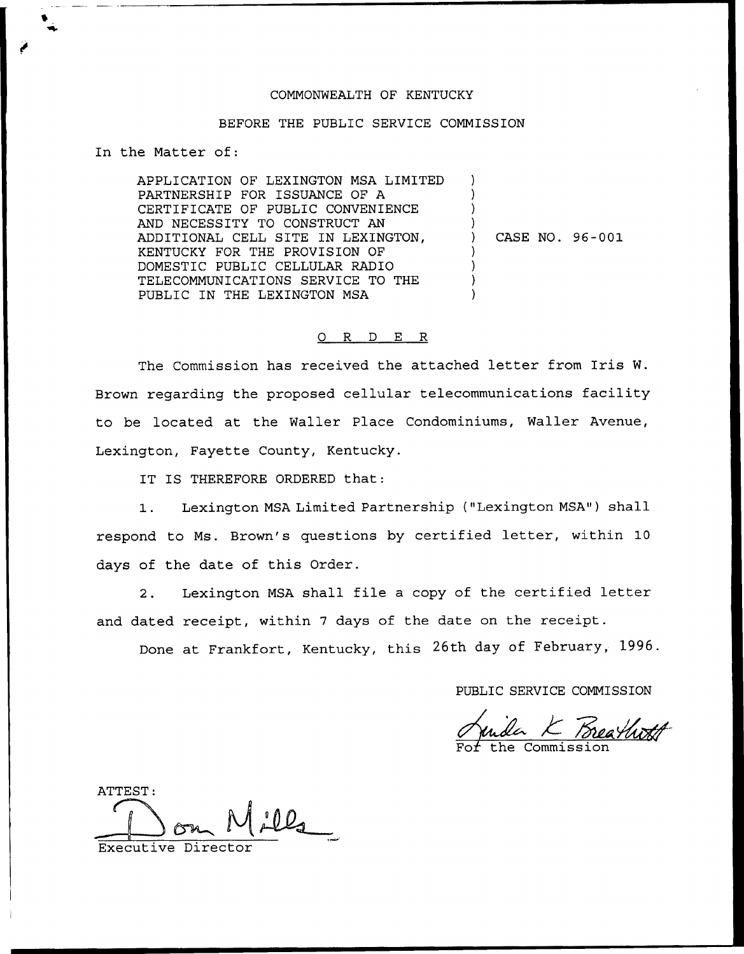## COMMONWEALTH OF KENTUCKY

## BEFORE THE PUBLIC SERVICE COMMISSION

In the Matter of:

APPLICATION OF LEXINGTON MSA LIMITED PARTNERSHIP FOR ISSUANCE OF A CERTIFICATE OF PUBLIC CONVENIENCE AND NECESSITY TO CONSTRUCT AN ADDITIONAL CELL SITE IN LEXINGTON, KENTUCKY FOR THE PROVISION OF DOMESTIC PUBLIC CELLULAR RADIO TELECOMMUNICATIONS SERVICE TO THE PUBLIC IN THE LEXINGTON MSA ) ) ) ) ) CASE NO. 96-001 ) ) ) )

## 0 R <sup>D</sup> E R

The Commission has received the attached letter from Iris W. Brown regarding the proposed cellular telecommunications facility to be located at the Wailer Place Condominiums, Wailer Avenue, Lexington, Fayette County, Kentucky.

IT IS THEREFORE ORDERED that:

1. Lexington MSA Limited Partnership {"Lexington MSA") shall respond to Ms. Brown's questions by certified letter, within 10 days of the date of this Order.

2. Lexington MSA shall file <sup>a</sup> copy of the certified letter and dated receipt, within <sup>7</sup> days of the date on the receipt.

Done at Frankfort, Kentucky, this 26th day of February, 1996.

PUBLIC SERVICE COMMISSION

Juida K Breathoff

ATTEST:

Executive Director